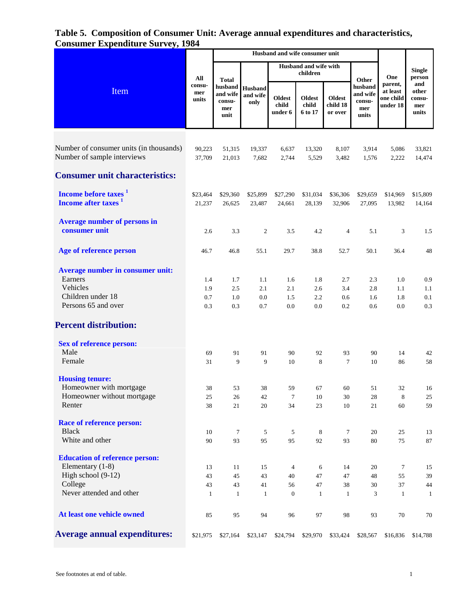# **Table 5. Composition of Consumer Unit: Average annual expenditures and characteristics, Consumer Expenditure Survey, 1984**

|                                                                                                            |                          | Husband and wife consumer unit                    |                              |                                   |                                   |                                      |                                               |                                              |                                        |
|------------------------------------------------------------------------------------------------------------|--------------------------|---------------------------------------------------|------------------------------|-----------------------------------|-----------------------------------|--------------------------------------|-----------------------------------------------|----------------------------------------------|----------------------------------------|
| Item                                                                                                       | All                      | Husband and wife with<br>children<br><b>Total</b> |                              | Other                             | One                               | Single<br>person                     |                                               |                                              |                                        |
|                                                                                                            | consu-<br>mer<br>units   | husband<br>and wife<br>consu-<br>mer<br>unit      | Husband<br>and wife<br>only  | <b>Oldest</b><br>child<br>under 6 | <b>Oldest</b><br>child<br>6 to 17 | <b>Oldest</b><br>child 18<br>or over | husband<br>and wife<br>consu-<br>mer<br>units | parent,<br>at least<br>one child<br>under 18 | and<br>other<br>consu-<br>mer<br>units |
| Number of consumer units (in thousands)<br>Number of sample interviews                                     | 90,223<br>37,709         | 51,315<br>21,013                                  | 19,337<br>7,682              | 6,637<br>2,744                    | 13,320<br>5,529                   | 8,107<br>3,482                       | 3,914<br>1,576                                | 5,086<br>2,222                               | 33,821<br>14,474                       |
| <b>Consumer unit characteristics:</b>                                                                      |                          |                                                   |                              |                                   |                                   |                                      |                                               |                                              |                                        |
| Income before taxes <sup>1</sup><br>Income after taxes <sup>1</sup>                                        | \$23,464<br>21,237       | \$29,360<br>26,625                                | \$25,899<br>23,487           | \$27,290<br>24,661                | \$31,034<br>28,139                | \$36,306<br>32,906                   | \$29,659<br>27,095                            | \$14,969<br>13,982                           | \$15,809<br>14,164                     |
| <b>Average number of persons in</b><br>consumer unit                                                       | 2.6                      | 3.3                                               | 2                            | 3.5                               | 4.2                               | 4                                    | 5.1                                           | 3                                            | 1.5                                    |
| Age of reference person                                                                                    | 46.7                     | 46.8                                              | 55.1                         | 29.7                              | 38.8                              | 52.7                                 | 50.1                                          | 36.4                                         | 48                                     |
| <b>Average number in consumer unit:</b><br>Earners<br>Vehicles<br>Children under 18<br>Persons 65 and over | 1.4<br>1.9<br>0.7<br>0.3 | 1.7<br>2.5<br>1.0<br>0.3                          | 1.1<br>2.1<br>0.0<br>$0.7\,$ | 1.6<br>2.1<br>1.5<br>0.0          | 1.8<br>2.6<br>2.2<br>0.0          | 2.7<br>3.4<br>0.6<br>0.2             | 2.3<br>2.8<br>1.6<br>0.6                      | 1.0<br>1.1<br>1.8<br>0.0                     | 0.9<br>1.1<br>0.1<br>0.3               |
| <b>Percent distribution:</b>                                                                               |                          |                                                   |                              |                                   |                                   |                                      |                                               |                                              |                                        |
| <b>Sex of reference person:</b>                                                                            |                          |                                                   |                              |                                   |                                   |                                      |                                               |                                              |                                        |
| Male<br>Female                                                                                             | 69<br>31                 | 91<br>9                                           | 91<br>9                      | 90<br>10                          | 92<br>8                           | 93<br>$\overline{7}$                 | 90<br>10                                      | 14<br>86                                     | 42<br>58                               |
| <b>Housing tenure:</b><br>Homeowner with mortgage<br>Homeowner without mortgage                            | 38<br>25                 | 53<br>26                                          | 38<br>42                     | 59<br>$\tau$                      | 67<br>10                          | 60<br>$30\,$                         | 51<br>28                                      | 32<br>$\,$ 8 $\,$                            | 16<br>25                               |
| Renter                                                                                                     | 38                       | 21                                                | 20                           | 34                                | 23                                | 10                                   | $21\,$                                        | 60                                           | 59                                     |
| <b>Race of reference person:</b><br><b>Black</b><br>White and other                                        | 10<br>90                 | $\boldsymbol{7}$<br>93                            | 5<br>95                      | 5<br>95                           | 8<br>92                           | $\tau$<br>93                         | 20<br>80                                      | 25<br>75                                     | 13<br>$87\,$                           |
| <b>Education of reference person:</b>                                                                      |                          |                                                   |                              |                                   |                                   |                                      |                                               |                                              |                                        |
| Elementary (1-8)<br>High school (9-12)                                                                     | 13<br>43                 | 11<br>45                                          | 15<br>43                     | 4<br>40                           | 6<br>47                           | 14<br>47                             | 20<br>48                                      | $\tau$<br>55                                 | 15<br>39                               |
| College<br>Never attended and other                                                                        | 43<br>1                  | 43<br>$\mathbf{1}$                                | 41<br>1                      | 56<br>$\boldsymbol{0}$            | 47<br>$\mathbf{1}$                | 38<br>$\mathbf{1}$                   | 30<br>3                                       | 37<br>$\mathbf{1}$                           | 44<br>-1                               |
| At least one vehicle owned                                                                                 | 85                       | 95                                                | 94                           | 96                                | 97                                | 98                                   | 93                                            | 70                                           | 70                                     |
| <b>Average annual expenditures:</b>                                                                        | \$21,975                 | \$27,164                                          | \$23,147                     | \$24,794                          | \$29,970                          | \$33,424                             | \$28,567                                      | \$16,836                                     | \$14,788                               |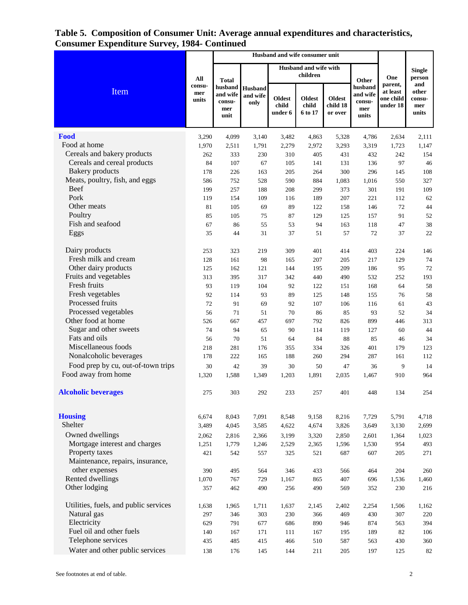### **Table 5. Composition of Consumer Unit: Average annual expenditures and characteristics, Consumer Expenditure Survey, 1984- Continued**  $\overline{\phantom{0}}$  $\overline{\phantom{a}}$

| maxmax                                |                        |                                              | Husband and wife consumer unit     |                                   |                                   |                                      |                                               |                                              |                                        |
|---------------------------------------|------------------------|----------------------------------------------|------------------------------------|-----------------------------------|-----------------------------------|--------------------------------------|-----------------------------------------------|----------------------------------------------|----------------------------------------|
| Item                                  | All                    | <b>Total</b>                                 |                                    |                                   | Husband and wife with<br>children |                                      | Other                                         | One                                          | <b>Single</b><br>person                |
|                                       | consu-<br>mer<br>units | husband<br>and wife<br>consu-<br>mer<br>unit | <b>Husband</b><br>and wife<br>only | <b>Oldest</b><br>child<br>under 6 | <b>Oldest</b><br>child<br>6 to 17 | <b>Oldest</b><br>child 18<br>or over | husband<br>and wife<br>consu-<br>mer<br>units | parent,<br>at least<br>one child<br>under 18 | and<br>other<br>consu-<br>mer<br>units |
| Food                                  | 3,290                  | 4,099                                        | 3,140                              | 3,482                             | 4,863                             | 5,328                                | 4,786                                         | 2,634                                        | 2,111                                  |
| Food at home                          | 1,970                  | 2,511                                        | 1,791                              | 2,279                             | 2,972                             | 3,293                                | 3,319                                         | 1,723                                        | 1,147                                  |
| Cereals and bakery products           | 262                    | 333                                          | 230                                | 310                               | 405                               | 431                                  | 432                                           | 242                                          | 154                                    |
| Cereals and cereal products           | 84                     | 107                                          | 67                                 | 105                               | 141                               | 131                                  | 136                                           | 97                                           | 46                                     |
| <b>Bakery</b> products                | 178                    | 226                                          | 163                                | 205                               | 264                               | 300                                  | 296                                           | 145                                          | 108                                    |
| Meats, poultry, fish, and eggs        | 586                    | 752                                          | 528                                | 590                               | 884                               | 1,083                                | 1,016                                         | 550                                          | 327                                    |
| <b>Beef</b>                           | 199                    | 257                                          | 188                                | 208                               | 299                               | 373                                  | 301                                           | 191                                          | 109                                    |
| Pork                                  | 119                    | 154                                          | 109                                | 116                               | 189                               | 207                                  | 221                                           | 112                                          | 62                                     |
| Other meats                           | 81                     | 105                                          | 69                                 | 89                                | 122                               | 158                                  | 146                                           | 72                                           | $44$                                   |
| Poultry                               | 85                     | 105                                          | 75                                 | 87                                | 129                               | 125                                  | 157                                           | 91                                           | 52                                     |
| Fish and seafood                      | 67                     | 86                                           | 55                                 | 53                                | 94                                | 163                                  | 118                                           | 47                                           | 38                                     |
| Eggs                                  | 35                     | 44                                           | 31                                 | 37                                | 51                                | 57                                   | 72                                            | 37                                           | 22                                     |
| Dairy products                        | 253                    | 323                                          | 219                                | 309                               | 401                               | 414                                  | 403                                           | 224                                          | 146                                    |
| Fresh milk and cream                  | 128                    | 161                                          | 98                                 | 165                               | 207                               | 205                                  | 217                                           | 129                                          | 74                                     |
| Other dairy products                  | 125                    | 162                                          | 121                                | 144                               | 195                               | 209                                  | 186                                           | 95                                           | 72                                     |
| Fruits and vegetables                 | 313                    | 395                                          | 317                                | 342                               | 440                               | 490                                  | 532                                           | 252                                          | 193                                    |
| Fresh fruits                          | 93                     | 119                                          | 104                                | 92                                | 122                               | 151                                  | 168                                           | 64                                           | 58                                     |
| Fresh vegetables                      | 92                     | 114                                          | 93                                 | 89                                | 125                               | 148                                  | 155                                           | 76                                           | 58                                     |
| Processed fruits                      | 72                     | 91                                           | 69                                 | 92                                | 107                               | 106                                  | 116                                           | 61                                           | 43                                     |
| Processed vegetables                  | 56                     | 71                                           | 51                                 | 70                                | 86                                | 85                                   | 93                                            | 52                                           | 34                                     |
| Other food at home                    | 526                    | 667                                          | 457                                | 697                               | 792                               | 826                                  | 899                                           | 446                                          | 313                                    |
| Sugar and other sweets                | 74                     | 94                                           | 65                                 | 90                                | 114                               | 119                                  | 127                                           | 60                                           | 44                                     |
| Fats and oils                         | 56                     | 70                                           | 51                                 | 64                                | 84                                | 88                                   | 85                                            | 46                                           | 34                                     |
| Miscellaneous foods                   | 218                    | 281                                          | 176                                | 355                               | 334                               | 326                                  | 401                                           | 179                                          | 123                                    |
| Nonalcoholic beverages                | 178                    | 222                                          | 165                                | 188                               | 260                               | 294                                  | 287                                           | 161                                          | 112                                    |
| Food prep by cu, out-of-town trips    | 30                     | 42                                           | 39                                 | 30                                | 50                                | 47                                   | 36                                            | 9                                            | 14                                     |
| Food away from home                   | 1,320                  | 1,588                                        | 1,349                              | 1,203                             | 1,891                             | 2,035                                | 1,467                                         | 910                                          | 964                                    |
| <b>Alcoholic beverages</b>            | 275                    | 303                                          | 292                                | 233                               | 257                               | 401                                  | 448                                           | 134                                          | 254                                    |
| <b>Housing</b>                        | 6,674                  | 8,043                                        | 7,091                              | 8,548                             | 9,158                             | 8,216                                | 7,729                                         | 5,791                                        | 4,718                                  |
| Shelter                               | 3,489                  | 4,045                                        | 3,585                              | 4,622                             | 4,674                             | 3,826                                | 3,649                                         | 3,130                                        | 2,699                                  |
| Owned dwellings                       | 2,062                  | 2,816                                        | 2,366                              | 3,199                             | 3,320                             | 2,850                                | 2,601                                         | 1,364                                        | 1,023                                  |
| Mortgage interest and charges         | 1,251                  | 1,779                                        | 1,246                              | 2,529                             | 2,365                             | 1,596                                | 1,530                                         | 954                                          | 493                                    |
| Property taxes                        | 421                    | 542                                          | 557                                | 325                               | 521                               | 687                                  | 607                                           | 205                                          | 271                                    |
| Maintenance, repairs, insurance,      |                        |                                              |                                    |                                   |                                   |                                      |                                               |                                              |                                        |
| other expenses                        | 390                    | 495                                          | 564                                | 346                               | 433                               | 566                                  | 464                                           | 204                                          | 260                                    |
| Rented dwellings                      | 1,070                  | 767                                          | 729                                | 1,167                             | 865                               | 407                                  | 696                                           | 1,536                                        | 1,460                                  |
| Other lodging                         | 357                    | 462                                          | 490                                | 256                               | 490                               | 569                                  | 352                                           | 230                                          | 216                                    |
| Utilities, fuels, and public services | 1,638                  | 1,965                                        | 1,711                              | 1,637                             | 2,145                             | 2,402                                | 2,254                                         | 1,506                                        | 1,162                                  |
| Natural gas                           | 297                    | 346                                          | 303                                | 230                               | 366                               | 469                                  | 430                                           | 307                                          | 220                                    |
| Electricity                           | 629                    | 791                                          | 677                                | 686                               | 890                               | 946                                  | 874                                           | 563                                          | 394                                    |
| Fuel oil and other fuels              | 140                    | 167                                          | 171                                | 111                               | 167                               | 195                                  | 189                                           | 82                                           | 106                                    |
| Telephone services                    | 435                    | 485                                          | 415                                | 466                               | 510                               | 587                                  | 563                                           | 430                                          | 360                                    |
| Water and other public services       | 138                    | 176                                          | 145                                | 144                               | 211                               | 205                                  | 197                                           | 125                                          | $82\,$                                 |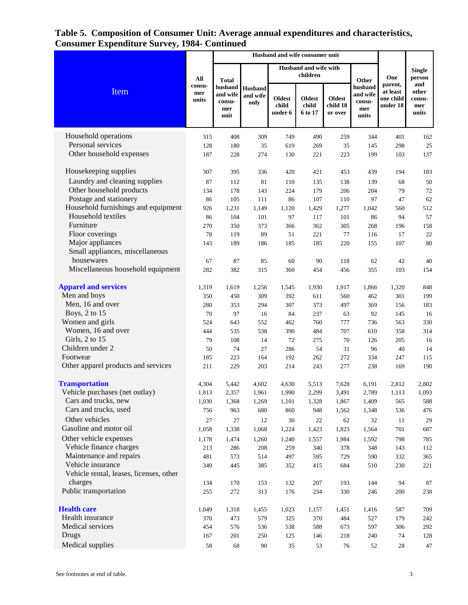## **Table 5. Composition of Consumer Unit: Average annual expenditures and characteristics, Consumer Expenditure Survey, 1984- Continued**  $\overline{ }$

| Соняинст Ехренании с эти усу, 1904      |                        |                                                              |                             |                                   |                                   |                                      |                                               |                                              |                                        |
|-----------------------------------------|------------------------|--------------------------------------------------------------|-----------------------------|-----------------------------------|-----------------------------------|--------------------------------------|-----------------------------------------------|----------------------------------------------|----------------------------------------|
| Item                                    | All                    | <b>Total</b><br>husband<br>and wife<br>consu-<br>mer<br>unit |                             |                                   | Husband and wife with<br>children |                                      | Other                                         | One                                          | <b>Single</b><br>person                |
|                                         | consu-<br>mer<br>units |                                                              | Husband<br>and wife<br>only | <b>Oldest</b><br>child<br>under 6 | <b>Oldest</b><br>child<br>6 to 17 | <b>Oldest</b><br>child 18<br>or over | husband<br>and wife<br>consu-<br>mer<br>units | parent,<br>at least<br>one child<br>under 18 | and<br>other<br>consu-<br>mer<br>units |
| Household operations                    | 315                    | 408                                                          | 309                         | 749                               | 490                               | 259                                  | 344                                           | 401                                          | 162                                    |
| Personal services                       | 128                    | 180                                                          | 35                          | 619                               | 269                               | 35                                   | 145                                           | 298                                          | $25\,$                                 |
| Other household expenses                | 187                    | 228                                                          | 274                         | 130                               | 221                               | 223                                  | 199                                           | 103                                          | 137                                    |
| Housekeeping supplies                   | 307                    | 395                                                          | 336                         | 420                               | 421                               | 453                                  | 439                                           | 194                                          | 183                                    |
| Laundry and cleaning supplies           | 87                     | 112                                                          | 81                          | 110                               | 135                               | 138                                  | 139                                           | 68                                           | 50                                     |
| Other household products                | 134                    | 178                                                          | 143                         | 224                               | 179                               | 206                                  | 204                                           | 79                                           | $72\,$                                 |
| Postage and stationery                  | 86                     | 105                                                          | 111                         | 86                                | 107                               | 110                                  | 97                                            | 47                                           | 62                                     |
| Household furnishings and equipment     | 926                    | 1,231                                                        | 1,149                       | 1,120                             | 1,429                             | 1,277                                | 1,042                                         | 560                                          | 512                                    |
| Household textiles                      | 86                     | 104                                                          | 101                         | 97                                | 117                               | 101                                  | 86                                            | 94                                           | 57                                     |
| Furniture                               | 270                    | 350                                                          | 373                         | 366                               | 362                               | 305                                  | 268                                           | 196                                          | 158                                    |
| Floor coverings                         | 78                     | 119                                                          | 89                          | 51                                | 221                               | 77                                   | 116                                           | 17                                           | $22\,$                                 |
| Major appliances                        | 143                    | 189                                                          | 186                         | 185                               | 185                               | 220                                  | 155                                           | 107                                          | 80                                     |
| Small appliances, miscellaneous         |                        |                                                              |                             |                                   |                                   |                                      |                                               |                                              |                                        |
| housewares                              | 67                     | 87                                                           | 85                          | 60                                | 90                                | 118                                  | 62                                            | 42                                           | 40                                     |
| Miscellaneous household equipment       | 282                    | 382                                                          | 315                         | 360                               | 454                               | 456                                  | 355                                           | 103                                          | 154                                    |
| <b>Apparel and services</b>             | 1,319                  | 1,619                                                        | 1,256                       | 1,545                             | 1,930                             | 1,917                                | 1,866                                         | 1,320                                        | 848                                    |
| Men and boys                            | 350                    | 450                                                          | 309                         | 392                               | 611                               | 560                                  | 462                                           | 301                                          | 199                                    |
| Men, 16 and over                        | 280                    | 353                                                          | 294                         | 307                               | 373                               | 497                                  | 369                                           | 156                                          | 183                                    |
| Boys, 2 to 15                           | 70                     | 97                                                           | 16                          | 84                                | 237                               | 63                                   | 92                                            | 145                                          | 16                                     |
| Women and girls                         | 524                    | 643                                                          | 552                         | 462                               | 760                               | 777                                  | 736                                           | 563                                          | 330                                    |
| Women, 16 and over                      | 444                    | 535                                                          | 538                         | 390                               | 484                               | 707                                  | 610                                           | 358                                          | 314                                    |
| Girls, 2 to 15                          | 79                     | 108                                                          | 14                          | 72                                | 275                               | 70                                   | 126                                           | 205                                          | 16                                     |
| Children under 2                        | 50                     | 74                                                           | 27                          | 286                               | 54                                | 31                                   | 96                                            | 40                                           | 14                                     |
| Footwear                                | 185                    | 223                                                          | 164                         | 192                               | 262                               | 272                                  | 334                                           | 247                                          | 115                                    |
| Other apparel products and services     | 211                    | 229                                                          | 203                         | 214                               | 243                               | 277                                  | 238                                           | 169                                          | 190                                    |
| <b>Transportation</b>                   | 4,304                  | 5,442                                                        | 4,602                       | 4,630                             | 5,513                             | 7,628                                | 6,191                                         | 2,812                                        | 2,802                                  |
| Vehicle purchases (net outlay)          | 1,813                  | 2,357                                                        | 1,961                       | 1,990                             | 2,299                             | 3,491                                | 2,789                                         | 1,113                                        | 1,093                                  |
| Cars and trucks, new                    | 1,030                  | 1,368                                                        | 1,269                       | 1,101                             | 1,328                             | 1,867                                | 1,409                                         | 565                                          | 588                                    |
| Cars and trucks, used                   | 756                    | 963                                                          | 680                         | 860                               | 948                               | 1,562                                | 1,348                                         | 536                                          | 476                                    |
| Other vehicles                          | 27                     | $27\,$                                                       | 12                          | 30                                | $22\,$                            | 62                                   | 32                                            | 11                                           | 29                                     |
| Gasoline and motor oil                  | 1,058                  | 1,338                                                        | 1,068                       | 1,224                             | 1,423                             | 1,823                                | 1,564                                         | 701                                          | 687                                    |
| Other vehicle expenses                  | 1,178                  | 1,474                                                        | 1,260                       | 1,240                             | 1,557                             | 1,984                                | 1,592                                         | 798                                          | 785                                    |
| Vehicle finance charges                 | 213                    | 286                                                          | 208                         | 259                               | 340                               | 378                                  | 348                                           | 143                                          | 112                                    |
| Maintenance and repairs                 | 481                    | 573                                                          | 514                         | 497                               | 595                               | 729                                  | 590                                           | 332                                          | 365                                    |
| Vehicle insurance                       | 349                    | 445                                                          | 385                         | 352                               | 415                               | 684                                  | 510                                           | 230                                          | 221                                    |
| Vehicle rental, leases, licenses, other |                        |                                                              |                             |                                   |                                   |                                      |                                               |                                              |                                        |
| charges                                 | 134                    | 170                                                          | 153                         | 132                               | 207                               | 193                                  | 144                                           | 94                                           | 87                                     |
| Public transportation                   | 255                    | 272                                                          | 313                         | 176                               | 234                               | 330                                  | 246                                           | 200                                          | 238                                    |
| <b>Health care</b>                      | 1,049                  | 1,318                                                        | 1,455                       | 1,023                             | 1,157                             | 1,451                                | 1,416                                         | 587                                          | 709                                    |
| Health insurance                        | 370                    | 473                                                          | 579                         | 325                               | 370                               | 484                                  | 527                                           | 179                                          | 242                                    |
| Medical services                        | 454                    | 576                                                          | 536                         | 538                               | 588                               | 673                                  | 597                                           | 306                                          | 292                                    |
| Drugs                                   | 167                    | 201                                                          | 250                         | $125\,$                           | 146                               | 218                                  | 240                                           | 74                                           | 128                                    |
| Medical supplies                        | $58\,$                 | 68                                                           | 90                          | 35                                | 53                                | $76\,$                               | 52                                            | $28\,$                                       | $47\,$                                 |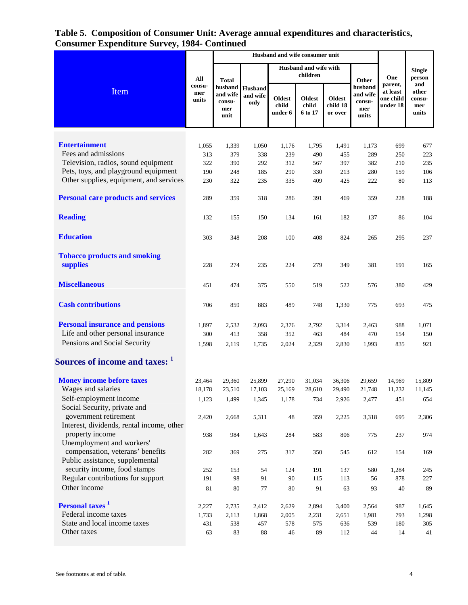# **Table 5. Composition of Consumer Unit: Average annual expenditures and characteristics, Consumer Expenditure Survey, 1984- Continued**

|                                                                     | Husband and wife consumer unit |                                              |                             |                                   |                                   |                                      |                                               |                                              |                                        |
|---------------------------------------------------------------------|--------------------------------|----------------------------------------------|-----------------------------|-----------------------------------|-----------------------------------|--------------------------------------|-----------------------------------------------|----------------------------------------------|----------------------------------------|
| Item                                                                | All                            | <b>Total</b>                                 |                             |                                   | Husband and wife with<br>children |                                      | Other                                         | One                                          | <b>Single</b><br>person                |
|                                                                     | consu-<br>mer<br>units         | husband<br>and wife<br>consu-<br>mer<br>unit | Husband<br>and wife<br>only | <b>Oldest</b><br>child<br>under 6 | Oldest<br>child<br>6 to 17        | <b>Oldest</b><br>child 18<br>or over | husband<br>and wife<br>consu-<br>mer<br>units | parent,<br>at least<br>one child<br>under 18 | and<br>other<br>consu-<br>mer<br>units |
|                                                                     |                                |                                              |                             |                                   |                                   |                                      |                                               |                                              |                                        |
| <b>Entertainment</b>                                                | 1,055                          | 1,339                                        | 1,050                       | 1,176                             | 1,795                             | 1,491                                | 1,173                                         | 699                                          | 677                                    |
| Fees and admissions                                                 | 313                            | 379                                          | 338                         | 239                               | 490                               | 455                                  | 289                                           | 250                                          | 223                                    |
| Television, radios, sound equipment                                 | 322                            | 390                                          | 292                         | 312                               | 567                               | 397                                  | 382                                           | 210                                          | 235                                    |
| Pets, toys, and playground equipment                                | 190                            | 248                                          | 185                         | 290                               | 330                               | 213                                  | 280                                           | 159                                          | 106                                    |
| Other supplies, equipment, and services                             | 230                            | 322                                          | 235                         | 335                               | 409                               | 425                                  | 222                                           | 80                                           | 113                                    |
| <b>Personal care products and services</b>                          | 289                            | 359                                          | 318                         | 286                               | 391                               | 469                                  | 359                                           | 228                                          | 188                                    |
| <b>Reading</b>                                                      | 132                            | 155                                          | 150                         | 134                               | 161                               | 182                                  | 137                                           | 86                                           | 104                                    |
| <b>Education</b>                                                    | 303                            | 348                                          | 208                         | 100                               | 408                               | 824                                  | 265                                           | 295                                          | 237                                    |
| <b>Tobacco products and smoking</b>                                 |                                |                                              |                             |                                   |                                   |                                      |                                               |                                              |                                        |
| supplies                                                            | 228                            | 274                                          | 235                         | 224                               | 279                               | 349                                  | 381                                           | 191                                          | 165                                    |
| <b>Miscellaneous</b>                                                | 451                            | 474                                          | 375                         | 550                               | 519                               | 522                                  | 576                                           | 380                                          | 429                                    |
| <b>Cash contributions</b>                                           | 706                            | 859                                          | 883                         | 489                               | 748                               | 1,330                                | 775                                           | 693                                          | 475                                    |
| <b>Personal insurance and pensions</b>                              | 1,897                          | 2,532                                        | 2,093                       | 2,376                             | 2,792                             | 3,314                                | 2,463                                         | 988                                          | 1,071                                  |
| Life and other personal insurance                                   | 300                            | 413                                          | 358                         | 352                               | 463                               | 484                                  | 470                                           | 154                                          | 150                                    |
| Pensions and Social Security                                        | 1,598                          | 2,119                                        | 1,735                       | 2,024                             | 2,329                             | 2,830                                | 1,993                                         | 835                                          | 921                                    |
| Sources of income and taxes: 1                                      |                                |                                              |                             |                                   |                                   |                                      |                                               |                                              |                                        |
| <b>Money income before taxes</b>                                    | 23,464                         | 29,360                                       | 25,899                      | 27,290                            | 31,034                            | 36,306                               | 29,659                                        | 14,969                                       | 15,809                                 |
| Wages and salaries                                                  | 18,178                         | 23,510                                       | 17,103                      | 25,169                            | 28,610                            | 29,490                               | 21,748                                        | 11,232                                       | 11,145                                 |
| Self-employment income<br>Social Security, private and              | 1,123                          | 1,499                                        | 1,345                       | 1,178                             | 734                               | 2,926                                | 2,477                                         | 451                                          | 654                                    |
| government retirement                                               | 2,420                          | 2,668                                        | 5,311                       | 48                                | 359                               | 2,225                                | 3,318                                         | 695                                          | 2,306                                  |
| Interest, dividends, rental income, other<br>property income        | 938                            | 984                                          | 1,643                       | 284                               | 583                               | 806                                  | 775                                           | 237                                          | 974                                    |
| Unemployment and workers'                                           |                                |                                              |                             |                                   |                                   |                                      |                                               |                                              |                                        |
| compensation, veterans' benefits<br>Public assistance, supplemental | 282                            | 369                                          | 275                         | 317                               | 350                               | 545                                  | 612                                           | 154                                          | 169                                    |
| security income, food stamps                                        | 252                            | 153                                          | 54                          | 124                               | 191                               | 137                                  | 580                                           | 1,284                                        | 245                                    |
| Regular contributions for support                                   | 191                            | 98                                           | 91                          | 90                                | 115                               | 113                                  | 56                                            | 878                                          | 227                                    |
| Other income                                                        | 81                             | 80                                           | 77                          | 80                                | 91                                | 63                                   | 93                                            | 40                                           | 89                                     |
| Personal taxes <sup>1</sup>                                         | 2,227                          | 2,735                                        | 2,412                       | 2,629                             | 2,894                             | 3,400                                | 2,564                                         | 987                                          | 1,645                                  |
| Federal income taxes                                                | 1,733                          | 2,113                                        | 1,868                       | 2,005                             | 2,231                             | 2,651                                | 1,981                                         | 793                                          | 1,298                                  |
| State and local income taxes                                        | 431                            | 538                                          | 457                         | 578                               | 575                               | 636                                  | 539                                           | 180                                          | 305                                    |
| Other taxes                                                         | 63                             | 83                                           | $\bf 88$                    | 46                                | 89                                | 112                                  | 44                                            | 14                                           | 41                                     |